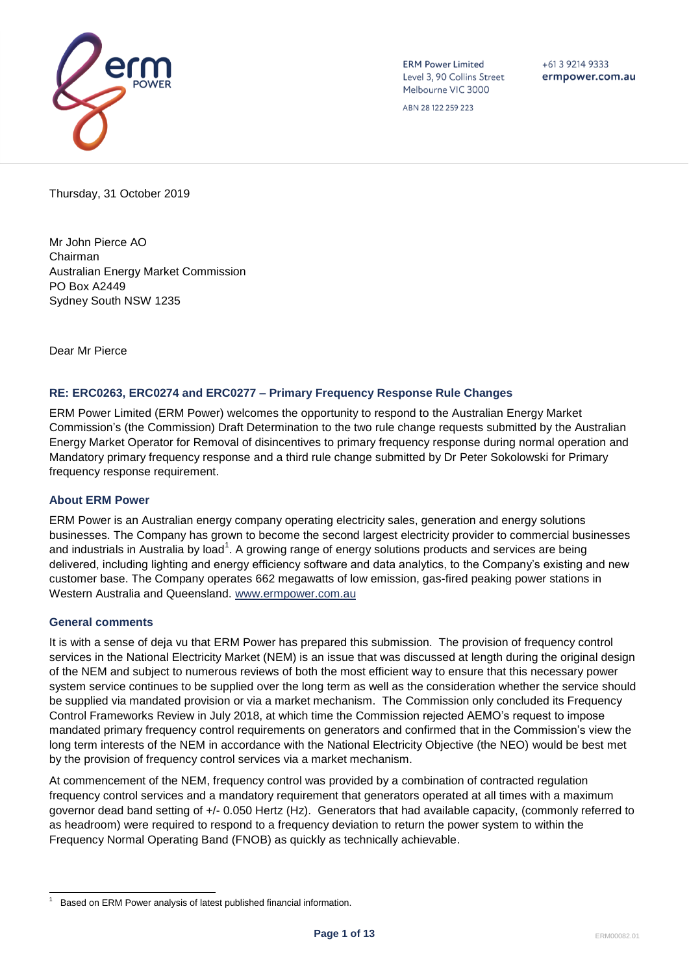

**ERM Power Limited** Level 3, 90 Collins Street Melbourne VIC 3000

 $+61392149333$ ermpower.com.au

ABN 28 122 259 223

Thursday, 31 October 2019

Mr John Pierce AO Chairman Australian Energy Market Commission PO Box A2449 Sydney South NSW 1235

Dear Mr Pierce

## **RE: ERC0263, ERC0274 and ERC0277 – Primary Frequency Response Rule Changes**

ERM Power Limited (ERM Power) welcomes the opportunity to respond to the Australian Energy Market Commission's (the Commission) Draft Determination to the two rule change requests submitted by the Australian Energy Market Operator for Removal of disincentives to primary frequency response during normal operation and Mandatory primary frequency response and a third rule change submitted by Dr Peter Sokolowski for Primary frequency response requirement.

### **About ERM Power**

ERM Power is an Australian energy company operating electricity sales, generation and energy solutions businesses. The Company has grown to become the second largest electricity provider to commercial businesses and industrials in Australia by load<sup>1</sup>. A growing range of energy solutions products and services are being delivered, including lighting and energy efficiency software and data analytics, to the Company's existing and new customer base. The Company operates 662 megawatts of low emission, gas-fired peaking power stations in Western Australia and Queensland. [www.ermpower.com.au](http://www.ermpower.com.au/)

#### **General comments**

It is with a sense of deja vu that ERM Power has prepared this submission. The provision of frequency control services in the National Electricity Market (NEM) is an issue that was discussed at length during the original design of the NEM and subject to numerous reviews of both the most efficient way to ensure that this necessary power system service continues to be supplied over the long term as well as the consideration whether the service should be supplied via mandated provision or via a market mechanism. The Commission only concluded its Frequency Control Frameworks Review in July 2018, at which time the Commission rejected AEMO's request to impose mandated primary frequency control requirements on generators and confirmed that in the Commission's view the long term interests of the NEM in accordance with the National Electricity Objective (the NEO) would be best met by the provision of frequency control services via a market mechanism.

At commencement of the NEM, frequency control was provided by a combination of contracted regulation frequency control services and a mandatory requirement that generators operated at all times with a maximum governor dead band setting of +/- 0.050 Hertz (Hz). Generators that had available capacity, (commonly referred to as headroom) were required to respond to a frequency deviation to return the power system to within the Frequency Normal Operating Band (FNOB) as quickly as technically achievable.

l 1 Based on ERM Power analysis of latest published financial information.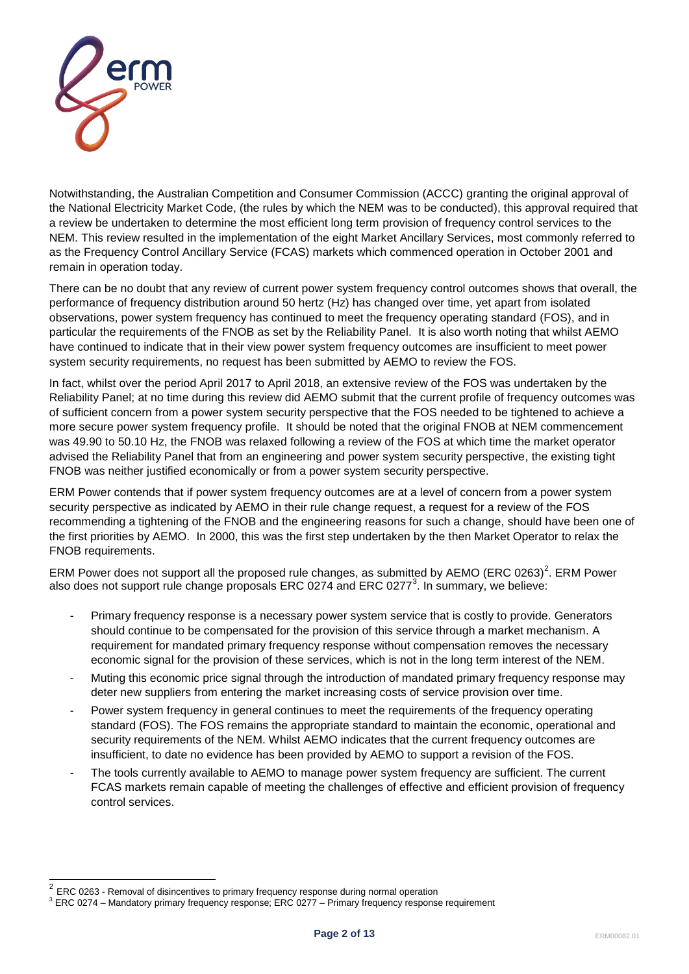

Notwithstanding, the Australian Competition and Consumer Commission (ACCC) granting the original approval of the National Electricity Market Code, (the rules by which the NEM was to be conducted), this approval required that a review be undertaken to determine the most efficient long term provision of frequency control services to the NEM. This review resulted in the implementation of the eight Market Ancillary Services, most commonly referred to as the Frequency Control Ancillary Service (FCAS) markets which commenced operation in October 2001 and remain in operation today.

There can be no doubt that any review of current power system frequency control outcomes shows that overall, the performance of frequency distribution around 50 hertz (Hz) has changed over time, yet apart from isolated observations, power system frequency has continued to meet the frequency operating standard (FOS), and in particular the requirements of the FNOB as set by the Reliability Panel. It is also worth noting that whilst AEMO have continued to indicate that in their view power system frequency outcomes are insufficient to meet power system security requirements, no request has been submitted by AEMO to review the FOS.

In fact, whilst over the period April 2017 to April 2018, an extensive review of the FOS was undertaken by the Reliability Panel; at no time during this review did AEMO submit that the current profile of frequency outcomes was of sufficient concern from a power system security perspective that the FOS needed to be tightened to achieve a more secure power system frequency profile. It should be noted that the original FNOB at NEM commencement was 49.90 to 50.10 Hz, the FNOB was relaxed following a review of the FOS at which time the market operator advised the Reliability Panel that from an engineering and power system security perspective, the existing tight FNOB was neither justified economically or from a power system security perspective.

ERM Power contends that if power system frequency outcomes are at a level of concern from a power system security perspective as indicated by AEMO in their rule change request, a request for a review of the FOS recommending a tightening of the FNOB and the engineering reasons for such a change, should have been one of the first priorities by AEMO. In 2000, this was the first step undertaken by the then Market Operator to relax the FNOB requirements.

ERM Power does not support all the proposed rule changes, as submitted by AEMO (ERC 0263)<sup>2</sup>. ERM Power also does not support rule change proposals ERC 0274 and ERC 0277<sup>3</sup>. In summary, we believe:

- Primary frequency response is a necessary power system service that is costly to provide. Generators should continue to be compensated for the provision of this service through a market mechanism. A requirement for mandated primary frequency response without compensation removes the necessary economic signal for the provision of these services, which is not in the long term interest of the NEM.
- Muting this economic price signal through the introduction of mandated primary frequency response may deter new suppliers from entering the market increasing costs of service provision over time.
- Power system frequency in general continues to meet the requirements of the frequency operating standard (FOS). The FOS remains the appropriate standard to maintain the economic, operational and security requirements of the NEM. Whilst AEMO indicates that the current frequency outcomes are insufficient, to date no evidence has been provided by AEMO to support a revision of the FOS.
- The tools currently available to AEMO to manage power system frequency are sufficient. The current FCAS markets remain capable of meeting the challenges of effective and efficient provision of frequency control services.

 2 ERC 0263 - Removal of disincentives to primary frequency response during normal operation

<sup>3</sup> ERC 0274 – Mandatory primary frequency response; ERC 0277 – Primary frequency response requirement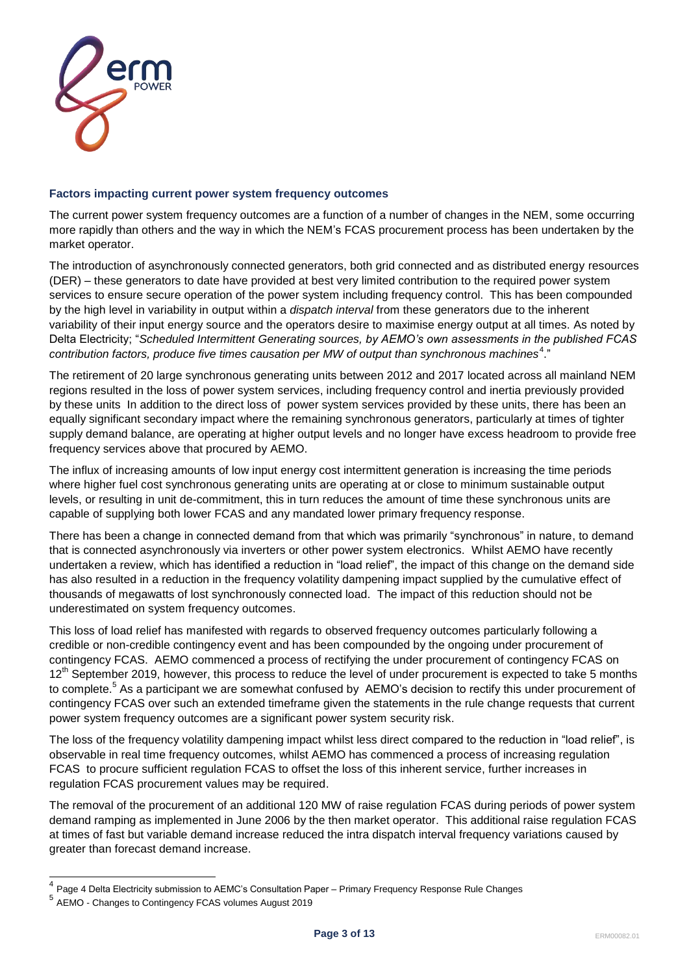

#### **Factors impacting current power system frequency outcomes**

The current power system frequency outcomes are a function of a number of changes in the NEM, some occurring more rapidly than others and the way in which the NEM's FCAS procurement process has been undertaken by the market operator.

The introduction of asynchronously connected generators, both grid connected and as distributed energy resources (DER) – these generators to date have provided at best very limited contribution to the required power system services to ensure secure operation of the power system including frequency control. This has been compounded by the high level in variability in output within a *dispatch interval* from these generators due to the inherent variability of their input energy source and the operators desire to maximise energy output at all times. As noted by Delta Electricity; "*Scheduled Intermittent Generating sources, by AEMO's own assessments in the published FCAS*  contribution factors, produce five times causation per MW of output than synchronous machines<sup>4</sup>."

The retirement of 20 large synchronous generating units between 2012 and 2017 located across all mainland NEM regions resulted in the loss of power system services, including frequency control and inertia previously provided by these units In addition to the direct loss of power system services provided by these units, there has been an equally significant secondary impact where the remaining synchronous generators, particularly at times of tighter supply demand balance, are operating at higher output levels and no longer have excess headroom to provide free frequency services above that procured by AEMO.

The influx of increasing amounts of low input energy cost intermittent generation is increasing the time periods where higher fuel cost synchronous generating units are operating at or close to minimum sustainable output levels, or resulting in unit de-commitment, this in turn reduces the amount of time these synchronous units are capable of supplying both lower FCAS and any mandated lower primary frequency response.

There has been a change in connected demand from that which was primarily "synchronous" in nature, to demand that is connected asynchronously via inverters or other power system electronics. Whilst AEMO have recently undertaken a review, which has identified a reduction in "load relief", the impact of this change on the demand side has also resulted in a reduction in the frequency volatility dampening impact supplied by the cumulative effect of thousands of megawatts of lost synchronously connected load. The impact of this reduction should not be underestimated on system frequency outcomes.

This loss of load relief has manifested with regards to observed frequency outcomes particularly following a credible or non-credible contingency event and has been compounded by the ongoing under procurement of contingency FCAS. AEMO commenced a process of rectifying the under procurement of contingency FCAS on 12<sup>th</sup> September 2019, however, this process to reduce the level of under procurement is expected to take 5 months to complete.<sup>5</sup> As a participant we are somewhat confused by AEMO's decision to rectify this under procurement of contingency FCAS over such an extended timeframe given the statements in the rule change requests that current power system frequency outcomes are a significant power system security risk.

The loss of the frequency volatility dampening impact whilst less direct compared to the reduction in "load relief", is observable in real time frequency outcomes, whilst AEMO has commenced a process of increasing regulation FCAS to procure sufficient regulation FCAS to offset the loss of this inherent service, further increases in regulation FCAS procurement values may be required.

The removal of the procurement of an additional 120 MW of raise regulation FCAS during periods of power system demand ramping as implemented in June 2006 by the then market operator. This additional raise regulation FCAS at times of fast but variable demand increase reduced the intra dispatch interval frequency variations caused by greater than forecast demand increase.

 4 Page 4 Delta Electricity submission to AEMC's Consultation Paper – Primary Frequency Response Rule Changes

<sup>5</sup> AEMO - Changes to Contingency FCAS volumes August 2019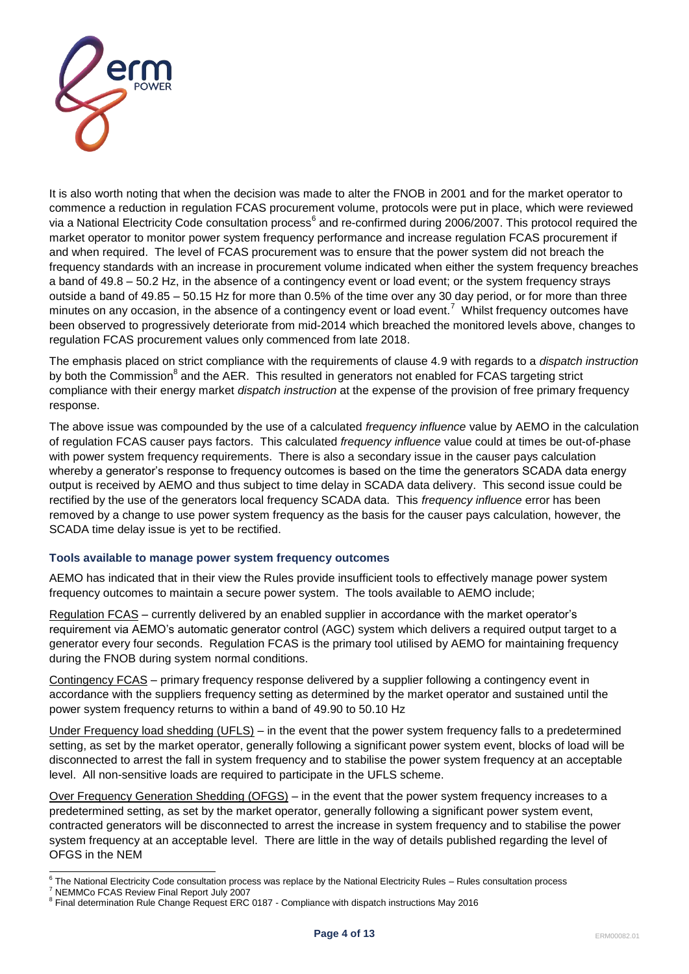

It is also worth noting that when the decision was made to alter the FNOB in 2001 and for the market operator to commence a reduction in regulation FCAS procurement volume, protocols were put in place, which were reviewed via a National Electricity Code consultation process<sup>6</sup> and re-confirmed during 2006/2007. This protocol required the market operator to monitor power system frequency performance and increase regulation FCAS procurement if and when required. The level of FCAS procurement was to ensure that the power system did not breach the frequency standards with an increase in procurement volume indicated when either the system frequency breaches a band of 49.8 – 50.2 Hz, in the absence of a contingency event or load event; or the system frequency strays outside a band of 49.85 – 50.15 Hz for more than 0.5% of the time over any 30 day period, or for more than three minutes on any occasion, in the absence of a contingency event or load event.<sup>7</sup> Whilst frequency outcomes have been observed to progressively deteriorate from mid-2014 which breached the monitored levels above, changes to regulation FCAS procurement values only commenced from late 2018.

The emphasis placed on strict compliance with the requirements of clause 4.9 with regards to a *dispatch instruction* by both the Commission<sup>8</sup> and the AER. This resulted in generators not enabled for FCAS targeting strict compliance with their energy market *dispatch instruction* at the expense of the provision of free primary frequency response.

The above issue was compounded by the use of a calculated *frequency influence* value by AEMO in the calculation of regulation FCAS causer pays factors. This calculated *frequency influence* value could at times be out-of-phase with power system frequency requirements. There is also a secondary issue in the causer pays calculation whereby a generator's response to frequency outcomes is based on the time the generators SCADA data energy output is received by AEMO and thus subject to time delay in SCADA data delivery. This second issue could be rectified by the use of the generators local frequency SCADA data. This *frequency influence* error has been removed by a change to use power system frequency as the basis for the causer pays calculation, however, the SCADA time delay issue is yet to be rectified.

### **Tools available to manage power system frequency outcomes**

AEMO has indicated that in their view the Rules provide insufficient tools to effectively manage power system frequency outcomes to maintain a secure power system. The tools available to AEMO include;

Regulation FCAS – currently delivered by an enabled supplier in accordance with the market operator's requirement via AEMO's automatic generator control (AGC) system which delivers a required output target to a generator every four seconds. Regulation FCAS is the primary tool utilised by AEMO for maintaining frequency during the FNOB during system normal conditions.

Contingency FCAS – primary frequency response delivered by a supplier following a contingency event in accordance with the suppliers frequency setting as determined by the market operator and sustained until the power system frequency returns to within a band of 49.90 to 50.10 Hz

Under Frequency load shedding (UFLS) – in the event that the power system frequency falls to a predetermined setting, as set by the market operator, generally following a significant power system event, blocks of load will be disconnected to arrest the fall in system frequency and to stabilise the power system frequency at an acceptable level. All non-sensitive loads are required to participate in the UFLS scheme.

Over Frequency Generation Shedding (OFGS) – in the event that the power system frequency increases to a predetermined setting, as set by the market operator, generally following a significant power system event, contracted generators will be disconnected to arrest the increase in system frequency and to stabilise the power system frequency at an acceptable level. There are little in the way of details published regarding the level of OFGS in the NEM

 6 The National Electricity Code consultation process was replace by the National Electricity Rules – Rules consultation process

<sup>7</sup> NEMMCo FCAS Review Final Report July 2007

<sup>&</sup>lt;sup>8</sup> Final determination Rule Change Request ERC 0187 - Compliance with dispatch instructions May 2016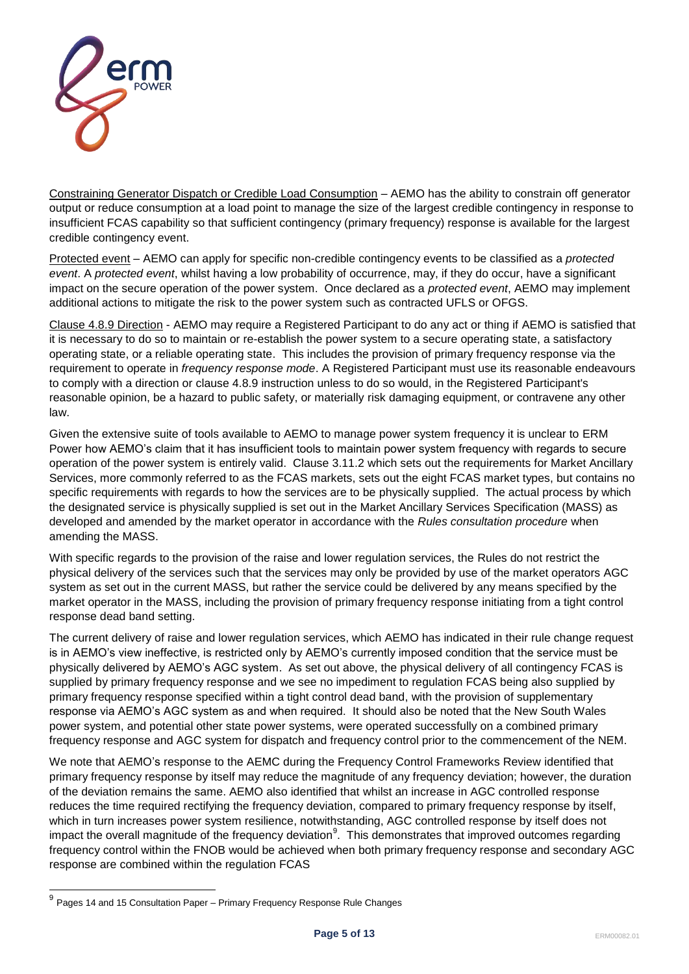

Constraining Generator Dispatch or Credible Load Consumption – AEMO has the ability to constrain off generator output or reduce consumption at a load point to manage the size of the largest credible contingency in response to insufficient FCAS capability so that sufficient contingency (primary frequency) response is available for the largest credible contingency event.

Protected event – AEMO can apply for specific non-credible contingency events to be classified as a *protected event*. A *protected event*, whilst having a low probability of occurrence, may, if they do occur, have a significant impact on the secure operation of the power system. Once declared as a *protected event*, AEMO may implement additional actions to mitigate the risk to the power system such as contracted UFLS or OFGS.

Clause 4.8.9 Direction - AEMO may require a Registered Participant to do any act or thing if AEMO is satisfied that it is necessary to do so to maintain or re-establish the power system to a secure operating state, a satisfactory operating state, or a reliable operating state. This includes the provision of primary frequency response via the requirement to operate in *frequency response mode*. A Registered Participant must use its reasonable endeavours to comply with a direction or clause 4.8.9 instruction unless to do so would, in the Registered Participant's reasonable opinion, be a hazard to public safety, or materially risk damaging equipment, or contravene any other law.

Given the extensive suite of tools available to AEMO to manage power system frequency it is unclear to ERM Power how AEMO's claim that it has insufficient tools to maintain power system frequency with regards to secure operation of the power system is entirely valid. Clause 3.11.2 which sets out the requirements for Market Ancillary Services, more commonly referred to as the FCAS markets, sets out the eight FCAS market types, but contains no specific requirements with regards to how the services are to be physically supplied. The actual process by which the designated service is physically supplied is set out in the Market Ancillary Services Specification (MASS) as developed and amended by the market operator in accordance with the *Rules consultation procedure* when amending the MASS.

With specific regards to the provision of the raise and lower regulation services, the Rules do not restrict the physical delivery of the services such that the services may only be provided by use of the market operators AGC system as set out in the current MASS, but rather the service could be delivered by any means specified by the market operator in the MASS, including the provision of primary frequency response initiating from a tight control response dead band setting.

The current delivery of raise and lower regulation services, which AEMO has indicated in their rule change request is in AEMO's view ineffective, is restricted only by AEMO's currently imposed condition that the service must be physically delivered by AEMO's AGC system. As set out above, the physical delivery of all contingency FCAS is supplied by primary frequency response and we see no impediment to regulation FCAS being also supplied by primary frequency response specified within a tight control dead band, with the provision of supplementary response via AEMO's AGC system as and when required. It should also be noted that the New South Wales power system, and potential other state power systems, were operated successfully on a combined primary frequency response and AGC system for dispatch and frequency control prior to the commencement of the NEM.

We note that AEMO's response to the AEMC during the Frequency Control Frameworks Review identified that primary frequency response by itself may reduce the magnitude of any frequency deviation; however, the duration of the deviation remains the same. AEMO also identified that whilst an increase in AGC controlled response reduces the time required rectifying the frequency deviation, compared to primary frequency response by itself, which in turn increases power system resilience, notwithstanding, AGC controlled response by itself does not impact the overall magnitude of the frequency deviation $9$ . This demonstrates that improved outcomes regarding frequency control within the FNOB would be achieved when both primary frequency response and secondary AGC response are combined within the regulation FCAS

 9 Pages 14 and 15 Consultation Paper – Primary Frequency Response Rule Changes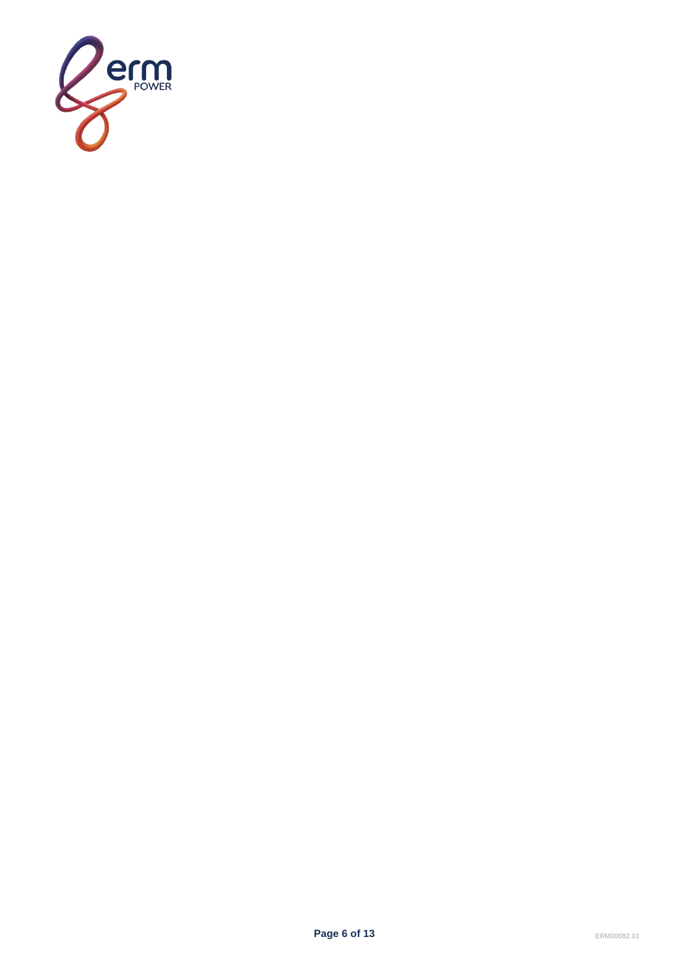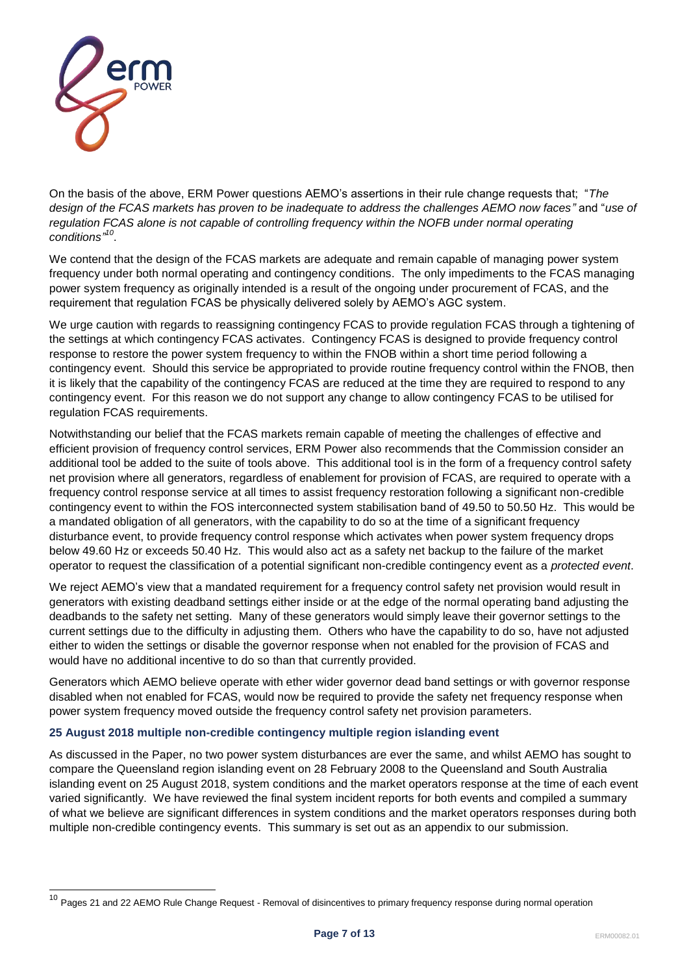

l

On the basis of the above, ERM Power questions AEMO's assertions in their rule change requests that; "*The design of the FCAS markets has proven to be inadequate to address the challenges AEMO now faces"* and "*use of regulation FCAS alone is not capable of controlling frequency within the NOFB under normal operating conditions" 10* .

We contend that the design of the FCAS markets are adequate and remain capable of managing power system frequency under both normal operating and contingency conditions. The only impediments to the FCAS managing power system frequency as originally intended is a result of the ongoing under procurement of FCAS, and the requirement that regulation FCAS be physically delivered solely by AEMO's AGC system.

We urge caution with regards to reassigning contingency FCAS to provide regulation FCAS through a tightening of the settings at which contingency FCAS activates. Contingency FCAS is designed to provide frequency control response to restore the power system frequency to within the FNOB within a short time period following a contingency event. Should this service be appropriated to provide routine frequency control within the FNOB, then it is likely that the capability of the contingency FCAS are reduced at the time they are required to respond to any contingency event. For this reason we do not support any change to allow contingency FCAS to be utilised for regulation FCAS requirements.

Notwithstanding our belief that the FCAS markets remain capable of meeting the challenges of effective and efficient provision of frequency control services, ERM Power also recommends that the Commission consider an additional tool be added to the suite of tools above. This additional tool is in the form of a frequency control safety net provision where all generators, regardless of enablement for provision of FCAS, are required to operate with a frequency control response service at all times to assist frequency restoration following a significant non-credible contingency event to within the FOS interconnected system stabilisation band of 49.50 to 50.50 Hz. This would be a mandated obligation of all generators, with the capability to do so at the time of a significant frequency disturbance event, to provide frequency control response which activates when power system frequency drops below 49.60 Hz or exceeds 50.40 Hz. This would also act as a safety net backup to the failure of the market operator to request the classification of a potential significant non-credible contingency event as a *protected event*.

We reject AEMO's view that a mandated requirement for a frequency control safety net provision would result in generators with existing deadband settings either inside or at the edge of the normal operating band adjusting the deadbands to the safety net setting. Many of these generators would simply leave their governor settings to the current settings due to the difficulty in adjusting them. Others who have the capability to do so, have not adjusted either to widen the settings or disable the governor response when not enabled for the provision of FCAS and would have no additional incentive to do so than that currently provided.

Generators which AEMO believe operate with ether wider governor dead band settings or with governor response disabled when not enabled for FCAS, would now be required to provide the safety net frequency response when power system frequency moved outside the frequency control safety net provision parameters.

### **25 August 2018 multiple non-credible contingency multiple region islanding event**

As discussed in the Paper, no two power system disturbances are ever the same, and whilst AEMO has sought to compare the Queensland region islanding event on 28 February 2008 to the Queensland and South Australia islanding event on 25 August 2018, system conditions and the market operators response at the time of each event varied significantly. We have reviewed the final system incident reports for both events and compiled a summary of what we believe are significant differences in system conditions and the market operators responses during both multiple non-credible contingency events. This summary is set out as an appendix to our submission.

<sup>&</sup>lt;sup>10</sup> Pages 21 and 22 AEMO Rule Change Request - Removal of disincentives to primary frequency response during normal operation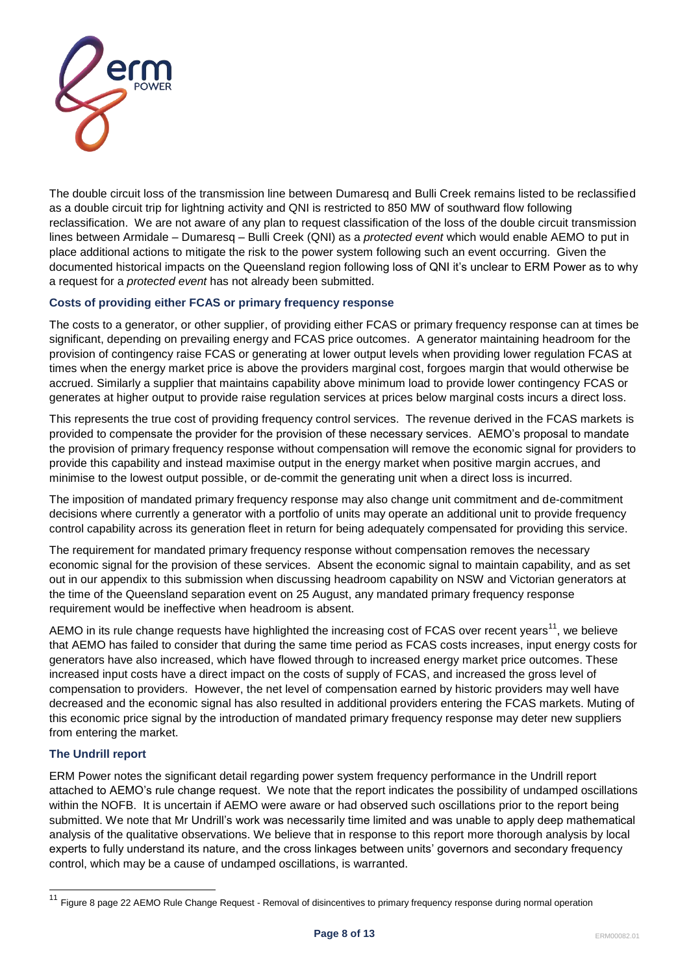

The double circuit loss of the transmission line between Dumaresq and Bulli Creek remains listed to be reclassified as a double circuit trip for lightning activity and QNI is restricted to 850 MW of southward flow following reclassification. We are not aware of any plan to request classification of the loss of the double circuit transmission lines between Armidale – Dumaresq – Bulli Creek (QNI) as a *protected event* which would enable AEMO to put in place additional actions to mitigate the risk to the power system following such an event occurring. Given the documented historical impacts on the Queensland region following loss of QNI it's unclear to ERM Power as to why a request for a *protected event* has not already been submitted.

## **Costs of providing either FCAS or primary frequency response**

The costs to a generator, or other supplier, of providing either FCAS or primary frequency response can at times be significant, depending on prevailing energy and FCAS price outcomes. A generator maintaining headroom for the provision of contingency raise FCAS or generating at lower output levels when providing lower regulation FCAS at times when the energy market price is above the providers marginal cost, forgoes margin that would otherwise be accrued. Similarly a supplier that maintains capability above minimum load to provide lower contingency FCAS or generates at higher output to provide raise regulation services at prices below marginal costs incurs a direct loss.

This represents the true cost of providing frequency control services. The revenue derived in the FCAS markets is provided to compensate the provider for the provision of these necessary services. AEMO's proposal to mandate the provision of primary frequency response without compensation will remove the economic signal for providers to provide this capability and instead maximise output in the energy market when positive margin accrues, and minimise to the lowest output possible, or de-commit the generating unit when a direct loss is incurred.

The imposition of mandated primary frequency response may also change unit commitment and de-commitment decisions where currently a generator with a portfolio of units may operate an additional unit to provide frequency control capability across its generation fleet in return for being adequately compensated for providing this service.

The requirement for mandated primary frequency response without compensation removes the necessary economic signal for the provision of these services. Absent the economic signal to maintain capability, and as set out in our appendix to this submission when discussing headroom capability on NSW and Victorian generators at the time of the Queensland separation event on 25 August, any mandated primary frequency response requirement would be ineffective when headroom is absent.

AEMO in its rule change requests have highlighted the increasing cost of FCAS over recent years<sup>11</sup>, we believe that AEMO has failed to consider that during the same time period as FCAS costs increases, input energy costs for generators have also increased, which have flowed through to increased energy market price outcomes. These increased input costs have a direct impact on the costs of supply of FCAS, and increased the gross level of compensation to providers. However, the net level of compensation earned by historic providers may well have decreased and the economic signal has also resulted in additional providers entering the FCAS markets. Muting of this economic price signal by the introduction of mandated primary frequency response may deter new suppliers from entering the market.

### **The Undrill report**

l

ERM Power notes the significant detail regarding power system frequency performance in the Undrill report attached to AEMO's rule change request. We note that the report indicates the possibility of undamped oscillations within the NOFB. It is uncertain if AEMO were aware or had observed such oscillations prior to the report being submitted. We note that Mr Undrill's work was necessarily time limited and was unable to apply deep mathematical analysis of the qualitative observations. We believe that in response to this report more thorough analysis by local experts to fully understand its nature, and the cross linkages between units' governors and secondary frequency control, which may be a cause of undamped oscillations, is warranted.

<sup>&</sup>lt;sup>11</sup> Figure 8 page 22 AEMO Rule Change Request - Removal of disincentives to primary frequency response during normal operation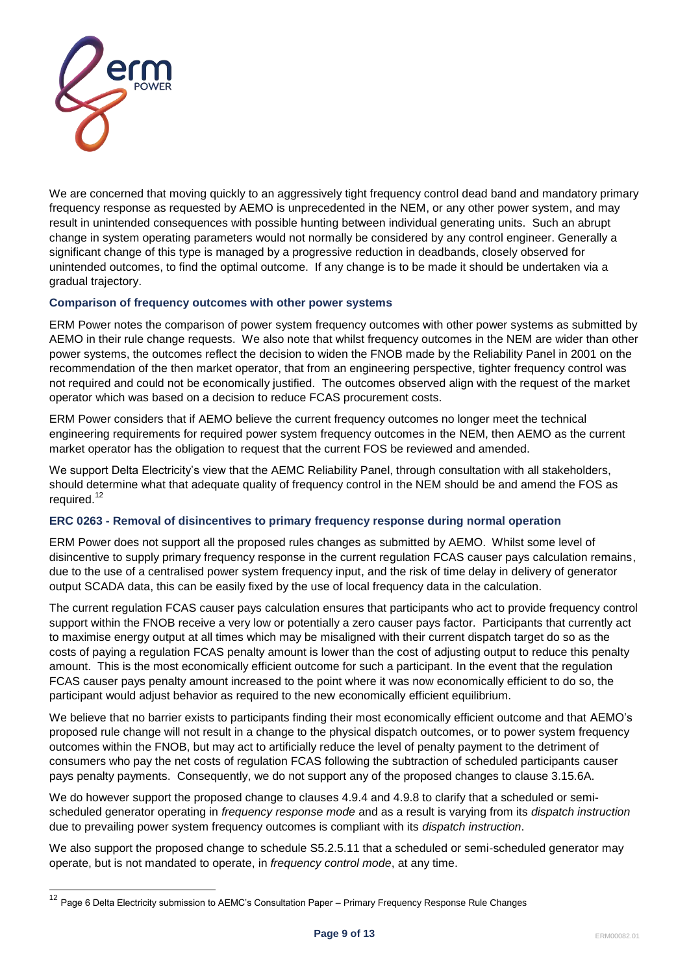

l

We are concerned that moving quickly to an aggressively tight frequency control dead band and mandatory primary frequency response as requested by AEMO is unprecedented in the NEM, or any other power system, and may result in unintended consequences with possible hunting between individual generating units. Such an abrupt change in system operating parameters would not normally be considered by any control engineer. Generally a significant change of this type is managed by a progressive reduction in deadbands, closely observed for unintended outcomes, to find the optimal outcome. If any change is to be made it should be undertaken via a gradual trajectory.

### **Comparison of frequency outcomes with other power systems**

ERM Power notes the comparison of power system frequency outcomes with other power systems as submitted by AEMO in their rule change requests. We also note that whilst frequency outcomes in the NEM are wider than other power systems, the outcomes reflect the decision to widen the FNOB made by the Reliability Panel in 2001 on the recommendation of the then market operator, that from an engineering perspective, tighter frequency control was not required and could not be economically justified. The outcomes observed align with the request of the market operator which was based on a decision to reduce FCAS procurement costs.

ERM Power considers that if AEMO believe the current frequency outcomes no longer meet the technical engineering requirements for required power system frequency outcomes in the NEM, then AEMO as the current market operator has the obligation to request that the current FOS be reviewed and amended.

We support Delta Electricity's view that the AEMC Reliability Panel, through consultation with all stakeholders, should determine what that adequate quality of frequency control in the NEM should be and amend the FOS as required.<sup>12</sup>

### **ERC 0263 - Removal of disincentives to primary frequency response during normal operation**

ERM Power does not support all the proposed rules changes as submitted by AEMO. Whilst some level of disincentive to supply primary frequency response in the current regulation FCAS causer pays calculation remains, due to the use of a centralised power system frequency input, and the risk of time delay in delivery of generator output SCADA data, this can be easily fixed by the use of local frequency data in the calculation.

The current regulation FCAS causer pays calculation ensures that participants who act to provide frequency control support within the FNOB receive a very low or potentially a zero causer pays factor. Participants that currently act to maximise energy output at all times which may be misaligned with their current dispatch target do so as the costs of paying a regulation FCAS penalty amount is lower than the cost of adjusting output to reduce this penalty amount. This is the most economically efficient outcome for such a participant. In the event that the regulation FCAS causer pays penalty amount increased to the point where it was now economically efficient to do so, the participant would adjust behavior as required to the new economically efficient equilibrium.

We believe that no barrier exists to participants finding their most economically efficient outcome and that AEMO's proposed rule change will not result in a change to the physical dispatch outcomes, or to power system frequency outcomes within the FNOB, but may act to artificially reduce the level of penalty payment to the detriment of consumers who pay the net costs of regulation FCAS following the subtraction of scheduled participants causer pays penalty payments. Consequently, we do not support any of the proposed changes to clause 3.15.6A.

We do however support the proposed change to clauses 4.9.4 and 4.9.8 to clarify that a scheduled or semischeduled generator operating in *frequency response mode* and as a result is varying from its *dispatch instruction* due to prevailing power system frequency outcomes is compliant with its *dispatch instruction*.

We also support the proposed change to schedule S5.2.5.11 that a scheduled or semi-scheduled generator may operate, but is not mandated to operate, in *frequency control mode*, at any time.

<sup>&</sup>lt;sup>12</sup> Page 6 Delta Electricity submission to AEMC's Consultation Paper – Primary Frequency Response Rule Changes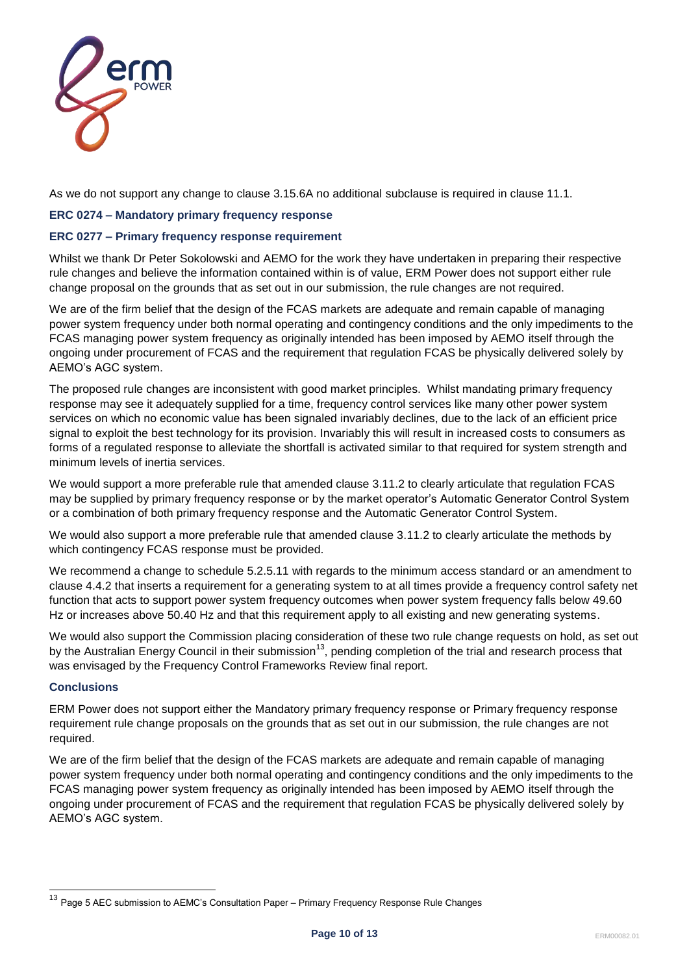

As we do not support any change to clause 3.15.6A no additional subclause is required in clause 11.1.

#### **ERC 0274 – Mandatory primary frequency response**

#### **ERC 0277 – Primary frequency response requirement**

Whilst we thank Dr Peter Sokolowski and AEMO for the work they have undertaken in preparing their respective rule changes and believe the information contained within is of value, ERM Power does not support either rule change proposal on the grounds that as set out in our submission, the rule changes are not required.

We are of the firm belief that the design of the FCAS markets are adequate and remain capable of managing power system frequency under both normal operating and contingency conditions and the only impediments to the FCAS managing power system frequency as originally intended has been imposed by AEMO itself through the ongoing under procurement of FCAS and the requirement that regulation FCAS be physically delivered solely by AEMO's AGC system.

The proposed rule changes are inconsistent with good market principles. Whilst mandating primary frequency response may see it adequately supplied for a time, frequency control services like many other power system services on which no economic value has been signaled invariably declines, due to the lack of an efficient price signal to exploit the best technology for its provision. Invariably this will result in increased costs to consumers as forms of a regulated response to alleviate the shortfall is activated similar to that required for system strength and minimum levels of inertia services.

We would support a more preferable rule that amended clause 3.11.2 to clearly articulate that regulation FCAS may be supplied by primary frequency response or by the market operator's Automatic Generator Control System or a combination of both primary frequency response and the Automatic Generator Control System.

We would also support a more preferable rule that amended clause 3.11.2 to clearly articulate the methods by which contingency FCAS response must be provided.

We recommend a change to schedule 5.2.5.11 with regards to the minimum access standard or an amendment to clause 4.4.2 that inserts a requirement for a generating system to at all times provide a frequency control safety net function that acts to support power system frequency outcomes when power system frequency falls below 49.60 Hz or increases above 50.40 Hz and that this requirement apply to all existing and new generating systems.

We would also support the Commission placing consideration of these two rule change requests on hold, as set out by the Australian Energy Council in their submission<sup>13</sup>, pending completion of the trial and research process that was envisaged by the Frequency Control Frameworks Review final report.

#### **Conclusions**

l

ERM Power does not support either the Mandatory primary frequency response or Primary frequency response requirement rule change proposals on the grounds that as set out in our submission, the rule changes are not required.

We are of the firm belief that the design of the FCAS markets are adequate and remain capable of managing power system frequency under both normal operating and contingency conditions and the only impediments to the FCAS managing power system frequency as originally intended has been imposed by AEMO itself through the ongoing under procurement of FCAS and the requirement that regulation FCAS be physically delivered solely by AEMO's AGC system.

<sup>&</sup>lt;sup>13</sup> Page 5 AEC submission to AEMC's Consultation Paper – Primary Frequency Response Rule Changes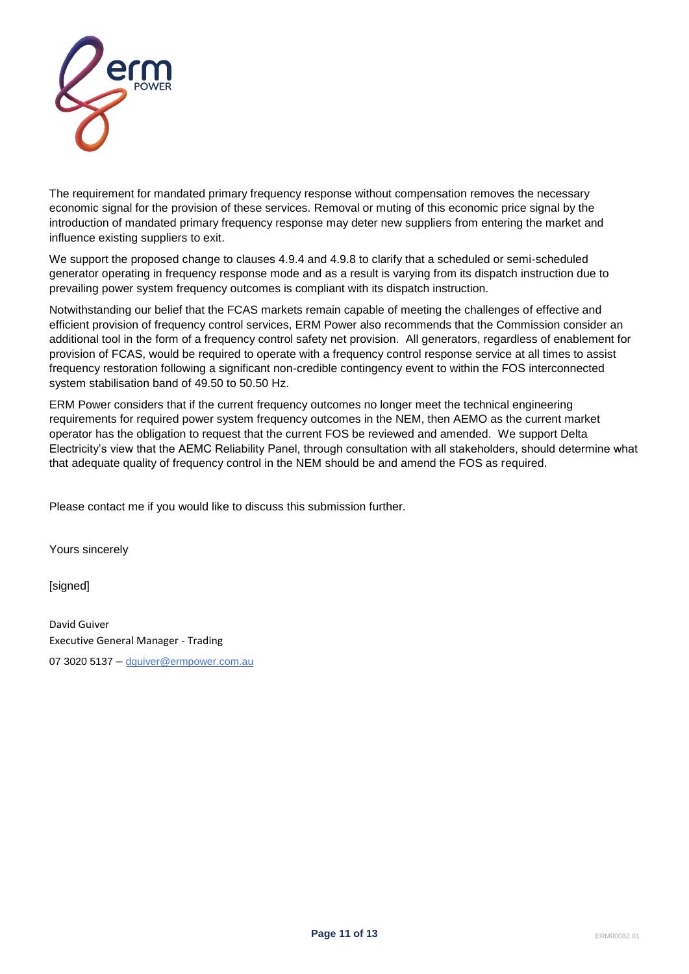

The requirement for mandated primary frequency response without compensation removes the necessary economic signal for the provision of these services. Removal or muting of this economic price signal by the introduction of mandated primary frequency response may deter new suppliers from entering the market and influence existing suppliers to exit.

We support the proposed change to clauses 4.9.4 and 4.9.8 to clarify that a scheduled or semi-scheduled generator operating in frequency response mode and as a result is varying from its dispatch instruction due to prevailing power system frequency outcomes is compliant with its dispatch instruction.

Notwithstanding our belief that the FCAS markets remain capable of meeting the challenges of effective and efficient provision of frequency control services, ERM Power also recommends that the Commission consider an additional tool in the form of a frequency control safety net provision. All generators, regardless of enablement for provision of FCAS, would be required to operate with a frequency control response service at all times to assist frequency restoration following a significant non-credible contingency event to within the FOS interconnected system stabilisation band of 49.50 to 50.50 Hz.

ERM Power considers that if the current frequency outcomes no longer meet the technical engineering requirements for required power system frequency outcomes in the NEM, then AEMO as the current market operator has the obligation to request that the current FOS be reviewed and amended. We support Delta Electricity's view that the AEMC Reliability Panel, through consultation with all stakeholders, should determine what that adequate quality of frequency control in the NEM should be and amend the FOS as required.

Please contact me if you would like to discuss this submission further.

Yours sincerely

[signed]

David Guiver Executive General Manager - Trading 07 3020 5137 – [dguiver@ermpower.com.au](mailto:dguiver@ermpower.com.au)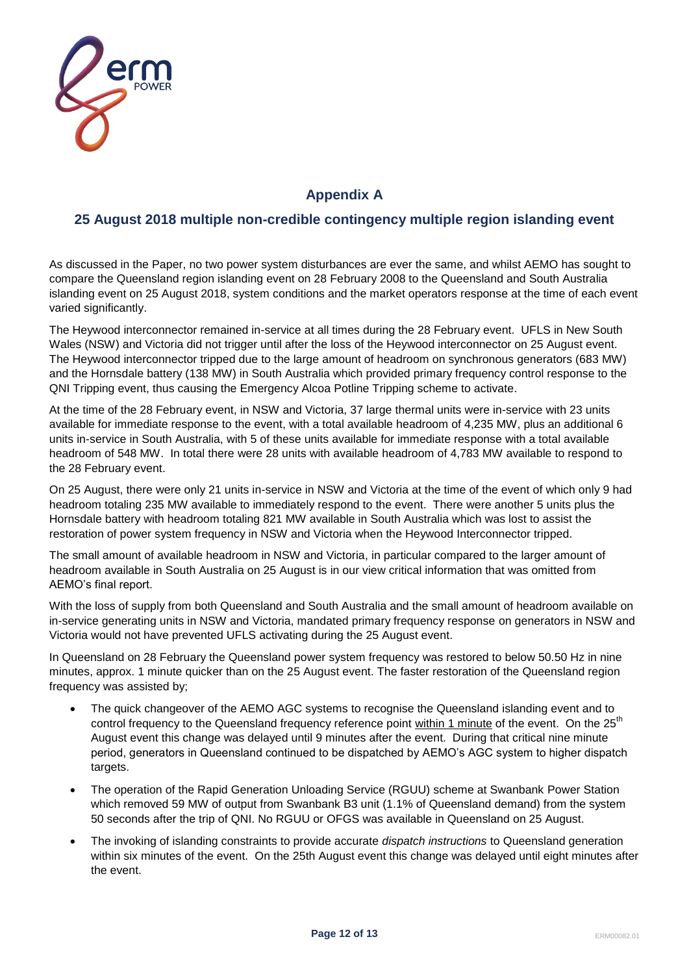

# **Appendix A**

## **25 August 2018 multiple non-credible contingency multiple region islanding event**

As discussed in the Paper, no two power system disturbances are ever the same, and whilst AEMO has sought to compare the Queensland region islanding event on 28 February 2008 to the Queensland and South Australia islanding event on 25 August 2018, system conditions and the market operators response at the time of each event varied significantly.

The Heywood interconnector remained in-service at all times during the 28 February event. UFLS in New South Wales (NSW) and Victoria did not trigger until after the loss of the Heywood interconnector on 25 August event. The Heywood interconnector tripped due to the large amount of headroom on synchronous generators (683 MW) and the Hornsdale battery (138 MW) in South Australia which provided primary frequency control response to the QNI Tripping event, thus causing the Emergency Alcoa Potline Tripping scheme to activate.

At the time of the 28 February event, in NSW and Victoria, 37 large thermal units were in-service with 23 units available for immediate response to the event, with a total available headroom of 4,235 MW, plus an additional 6 units in-service in South Australia, with 5 of these units available for immediate response with a total available headroom of 548 MW. In total there were 28 units with available headroom of 4,783 MW available to respond to the 28 February event.

On 25 August, there were only 21 units in-service in NSW and Victoria at the time of the event of which only 9 had headroom totaling 235 MW available to immediately respond to the event. There were another 5 units plus the Hornsdale battery with headroom totaling 821 MW available in South Australia which was lost to assist the restoration of power system frequency in NSW and Victoria when the Heywood Interconnector tripped.

The small amount of available headroom in NSW and Victoria, in particular compared to the larger amount of headroom available in South Australia on 25 August is in our view critical information that was omitted from AEMO's final report.

With the loss of supply from both Queensland and South Australia and the small amount of headroom available on in-service generating units in NSW and Victoria, mandated primary frequency response on generators in NSW and Victoria would not have prevented UFLS activating during the 25 August event.

In Queensland on 28 February the Queensland power system frequency was restored to below 50.50 Hz in nine minutes, approx. 1 minute quicker than on the 25 August event. The faster restoration of the Queensland region frequency was assisted by;

- The quick changeover of the AEMO AGC systems to recognise the Queensland islanding event and to control frequency to the Queensland frequency reference point within 1 minute of the event. On the 25<sup>th</sup> August event this change was delayed until 9 minutes after the event. During that critical nine minute period, generators in Queensland continued to be dispatched by AEMO's AGC system to higher dispatch targets.
- The operation of the Rapid Generation Unloading Service (RGUU) scheme at Swanbank Power Station which removed 59 MW of output from Swanbank B3 unit (1.1% of Queensland demand) from the system 50 seconds after the trip of QNI. No RGUU or OFGS was available in Queensland on 25 August.
- The invoking of islanding constraints to provide accurate *dispatch instructions* to Queensland generation within six minutes of the event. On the 25th August event this change was delayed until eight minutes after the event.